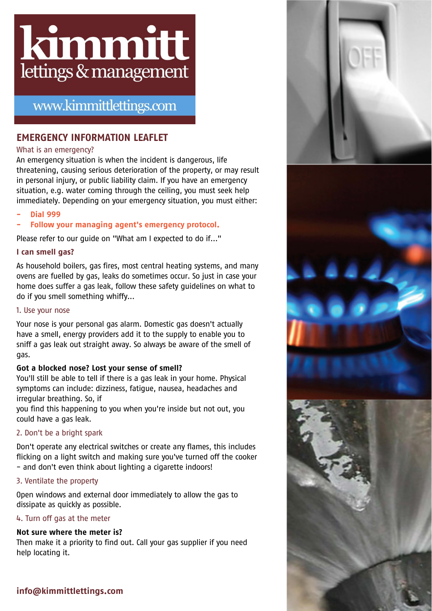

# www.kimmittlettings.com

# **EMERGENCY INFORMATION LEAFLET**

### What is an emergency?

An emergency situation is when the incident is dangerous, life threatening, causing serious deterioration of the property, or may result in personal injury, or public liability claim. If you have an emergency situation, e.g. water coming through the ceiling, you must seek help immediately. Depending on your emergency situation, you must either:

- **Dial 999**
- **Follow your managing agent's emergency protocol.**

Please refer to our guide on "What am I expected to do if..."

### **I can smell gas?**

As household boilers, gas fires, most central heating systems, and many ovens are fuelled by gas, leaks do sometimes occur. So just in case your home does suffer a gas leak, follow these safety guidelines on what to do if you smell something whiffy...

### 1. Use your nose

Your nose is your personal gas alarm. Domestic gas doesn't actually have a smell, energy providers add it to the supply to enable you to sniff a gas leak out straight away. So always be aware of the smell of gas.

# **Got a blocked nose? Lost your sense of smell?**

You'll still be able to tell if there is a gas leak in your home. Physical symptoms can include: dizziness, fatigue, nausea, headaches and irregular breathing. So, if

you find this happening to you when you're inside but not out, you could have a gas leak.

# 2. Don't be a bright spark

Don't operate any electrical switches or create any flames, this includes flicking on a light switch and making sure you've turned off the cooker - and don't even think about lighting a cigarette indoors!

### 3. Ventilate the property

Open windows and external door immediately to allow the gas to dissipate as quickly as possible.

### 4. Turn off gas at the meter

### **Not sure where the meter is?**

Then make it a priority to find out. Call your gas supplier if you need help locating it.



# **info@kimmittlettings.com**